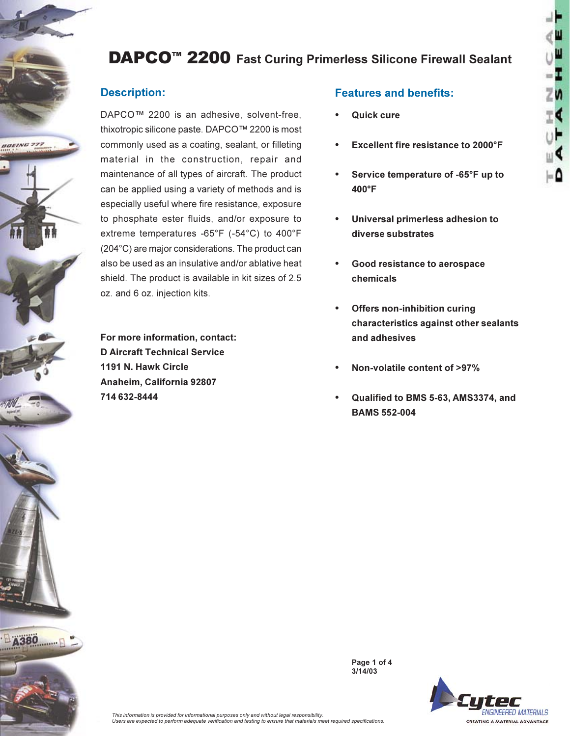# **DAPCO<sup>™</sup> 2200** Fast Curing Primerless Silicone Firewall Sealant

## **Description:**

**BOEING 777** 

80

DAPCO™ 2200 is an adhesive, solvent-free, thixotropic silicone paste. DAPCO™ 2200 is most commonly used as a coating, sealant, or filleting material in the construction, repair and maintenance of all types of aircraft. The product can be applied using a variety of methods and is especially useful where fire resistance, exposure to phosphate ester fluids, and/or exposure to extreme temperatures -65°F (-54°C) to 400°F (204°C) are major considerations. The product can also be used as an insulative and/or ablative heat shield. The product is available in kit sizes of 2.5 oz. and 6 oz. injection kits.

For more information, contact: **D Aircraft Technical Service** 1191 N. Hawk Circle Anaheim, California 92807 714 632-8444

### **Features and benefits:**

- Quick cure
- Excellent fire resistance to 2000°F
- Service temperature of -65°F up to 400°F
- Universal primerless adhesion to diverse substrates
- Good resistance to aerospace chemicals
- **Offers non-inhibition curing** characteristics against other sealants and adhesives
- Non-volatile content of >97%
- Qualified to BMS 5-63, AMS3374, and **BAMS 552-004**



This information is provided for informational purposes only and without legal responsibility. Users are expected to perform adequate verification and testing to ensure that materials meet required specifications.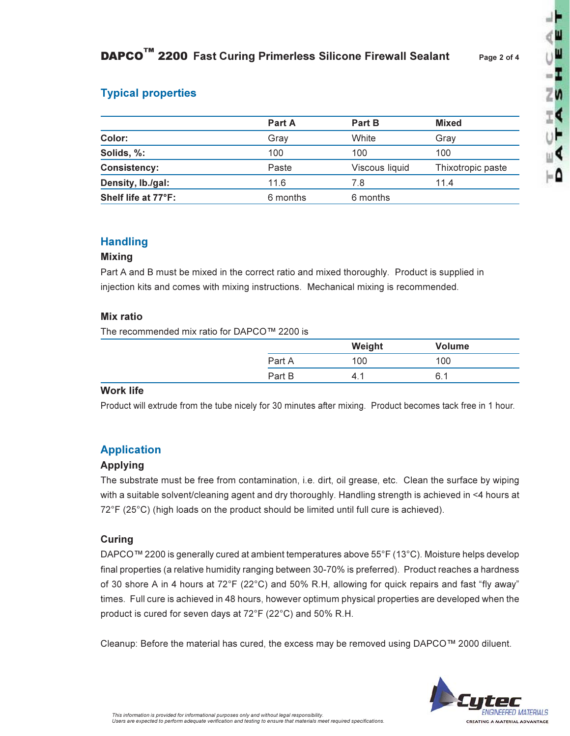## **Typical properties**

|                     | <b>Part A</b> | <b>Part B</b>  | <b>Mixed</b>      |
|---------------------|---------------|----------------|-------------------|
| Color:              | Grav          | White          | Gray              |
| Solids, %:          | 100           | 100            | 100               |
| <b>Consistency:</b> | Paste         | Viscous liquid | Thixotropic paste |
| Density, Ib./gal:   | 11.6          | 7.8            | 11.4              |
| Shelf life at 77°F: | 6 months      | 6 months       |                   |

### **Handling**

#### **Mixing**

Part A and B must be mixed in the correct ratio and mixed thoroughly. Product is supplied in injection kits and comes with mixing instructions. Mechanical mixing is recommended.

#### **Mix ratio**

The recommended mix ratio for DAPCO™ 2200 is

|        | Weight | Volume |
|--------|--------|--------|
| Part A | 100    | 100    |
| Part B | .      | 6. .   |

#### **Work life**

Product will extrude from the tube nicely for 30 minutes after mixing. Product becomes tack free in 1 hour.

## **Application**

#### **Applying**

The substrate must be free from contamination, i.e. dirt, oil grease, etc. Clean the surface by wiping with a suitable solvent/cleaning agent and dry thoroughly. Handling strength is achieved in <4 hours at 72°F (25°C) (high loads on the product should be limited until full cure is achieved).

#### Curing

DAPCO™ 2200 is generally cured at ambient temperatures above 55°F (13°C). Moisture helps develop final properties (a relative humidity ranging between 30-70% is preferred). Product reaches a hardness of 30 shore A in 4 hours at 72°F (22°C) and 50% R.H. allowing for quick repairs and fast "fly away" times. Full cure is achieved in 48 hours, however optimum physical properties are developed when the product is cured for seven days at 72°F (22°C) and 50% R.H.

Cleanup: Before the material has cured, the excess may be removed using DAPCO™ 2000 diluent.



- 1

۰۵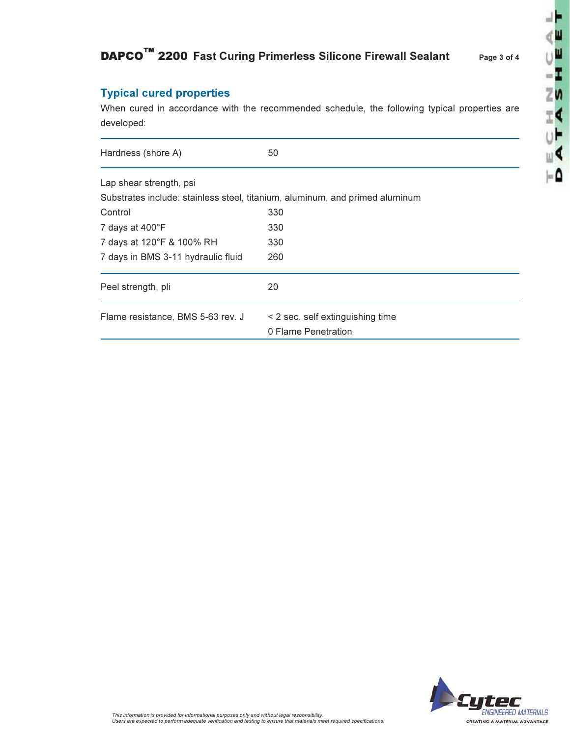# DAPCO™ 2200 Fast Curing Primerless Silicone Firewall Sealant

## **Typical cured properties**

When cured in accordance with the recommended schedule, the following typical properties are developed:

| Hardness (shore A)                 | 50                                                                           |
|------------------------------------|------------------------------------------------------------------------------|
| Lap shear strength, psi            |                                                                              |
|                                    | Substrates include: stainless steel, titanium, aluminum, and primed aluminum |
| Control                            | 330                                                                          |
| 7 days at 400°F                    | 330                                                                          |
| 7 days at 120°F & 100% RH          | 330                                                                          |
| 7 days in BMS 3-11 hydraulic fluid | 260                                                                          |
| Peel strength, pli                 | 20                                                                           |
| Flame resistance, BMS 5-63 rev. J  | < 2 sec. self extinguishing time                                             |
|                                    | 0 Flame Penetration                                                          |



 $\frac{1}{2}$ Ш

W

 $-\mathbf{r}$ 

 $\overline{z}$ n

Ξ¢

υF

ш¶

-0